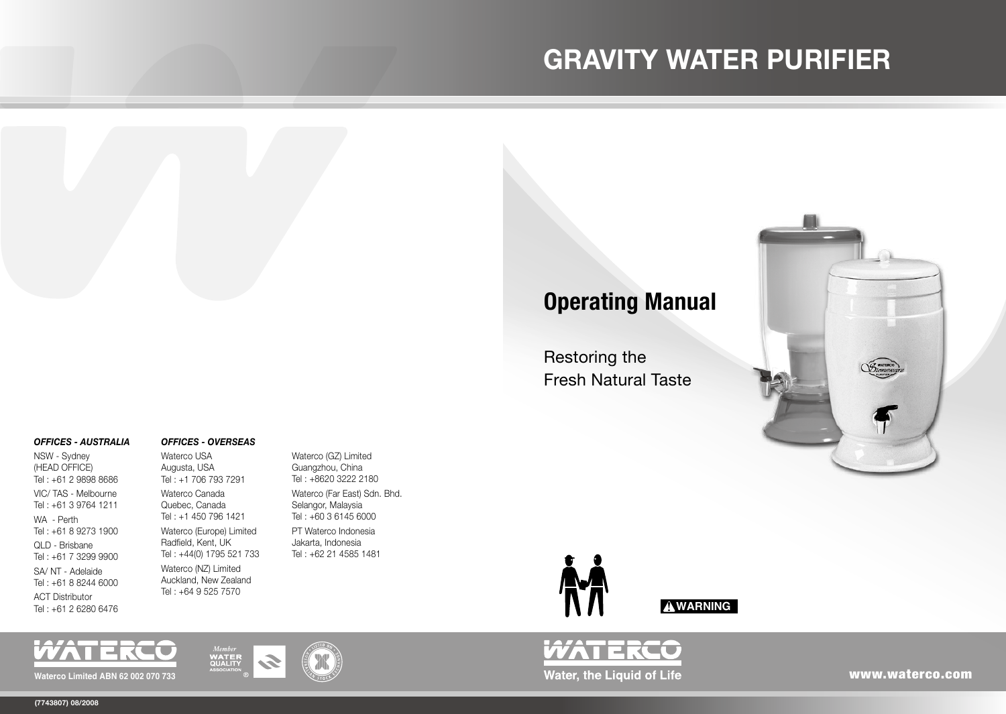# **GRAVITY WATER PURIFIER**

## **Operating Manual**

Restoring the Fresh Natural Taste



### *OFFICES - AUSTRALIA*

NSW - Sydney (HEAD OFFICE) Tel : +61 2 9898 8686 VIC/ TAS - Melbourne Tel : +61 3 9764 1211 WA - Perth Tel : +61 8 9273 1900 QLD - Brisbane Tel : +61 7 3299 9900 SA/ NT - Adelaide Tel : +61 8 8244 6000 ACT Distributor Tel : +61 2 6280 6476

#### *OFFICES - OVERSEAS*

Waterco USA Augusta, USA Tel : +1 706 793 7291 Waterco Canada Quebec, Canada Tel : +1 450 796 1421 Waterco (Europe) Limited Radfield, Kent, UK Tel : +44(0) 1795 521 733 Waterco (NZ) Limited Auckland, New Zealand Tel : +64 9 525 7570

**WATER**<br>QUALITY

Waterco (GZ) Limited Guangzhou, China Tel : +8620 3222 2180 Waterco (Far East) Sdn. Bhd. Selangor, Malaysia Tel : +60 3 6145 6000 PT Waterco Indonesia Jakarta, Indonesia Tel : +62 21 4585 1481





www.waterco.com

**Waterco Limited ABN 62 002 070 733**